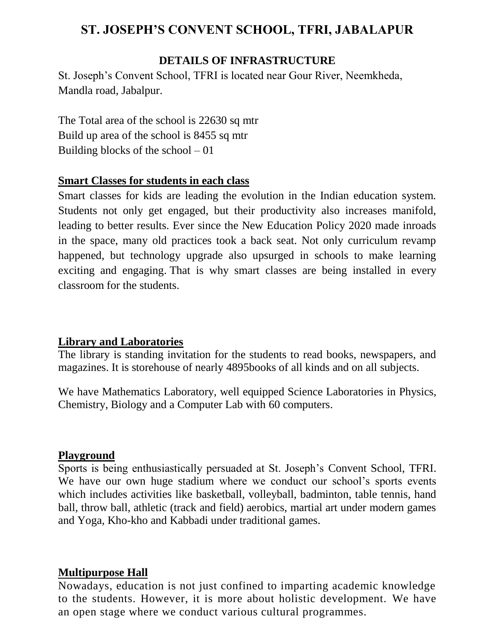# **ST. JOSEPH'S CONVENT SCHOOL, TFRI, JABALAPUR**

## **DETAILS OF INFRASTRUCTURE**

St. Joseph's Convent School, TFRI is located near Gour River, Neemkheda, Mandla road, Jabalpur.

The Total area of the school is 22630 sq mtr Build up area of the school is 8455 sq mtr Building blocks of the school  $-01$ 

#### **Smart Classes for students in each class**

Smart classes for kids are leading the evolution in the Indian education system. Students not only get engaged, but their productivity also increases manifold, leading to better results. Ever since the New Education Policy 2020 made inroads in the space, many old practices took a back seat. Not only curriculum revamp happened, but technology upgrade also upsurged in schools to make learning exciting and engaging. That is why smart classes are being installed in every classroom for the students.

#### **Library and Laboratories**

The library is standing invitation for the students to read books, newspapers, and magazines. It is storehouse of nearly 4895books of all kinds and on all subjects.

We have Mathematics Laboratory, well equipped Science Laboratories in Physics, Chemistry, Biology and a Computer Lab with 60 computers.

#### **Playground**

Sports is being enthusiastically persuaded at St. Joseph's Convent School, TFRI. We have our own huge stadium where we conduct our school's sports events which includes activities like basketball, volleyball, badminton, table tennis, hand ball, throw ball, athletic (track and field) aerobics, martial art under modern games and Yoga, Kho-kho and Kabbadi under traditional games.

#### **Multipurpose Hall**

Nowadays, education is not just confined to imparting academic knowledge to the students. However, it is more about holistic development. We have an open stage where we conduct various cultural programmes.